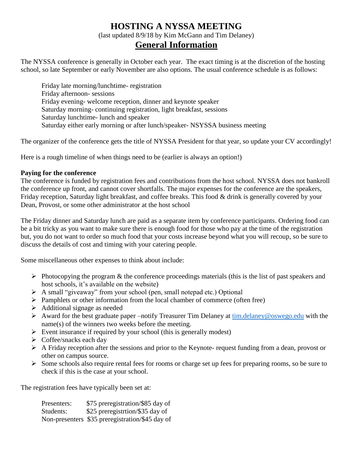# **HOSTING A NYSSA MEETING** (last updated 8/9/18 by Kim McGann and Tim Delaney) **General Information**

The NYSSA conference is generally in October each year. The exact timing is at the discretion of the hosting school, so late September or early November are also options. The usual conference schedule is as follows:

Friday late morning/lunchtime- registration Friday afternoon- sessions Friday evening- welcome reception, dinner and keynote speaker Saturday morning- continuing registration, light breakfast, sessions Saturday lunchtime- lunch and speaker Saturday either early morning or after lunch/speaker- NSYSSA business meeting

The organizer of the conference gets the title of NYSSA President for that year, so update your CV accordingly!

Here is a rough timeline of when things need to be (earlier is always an option!)

#### **Paying for the conference**

The conference is funded by registration fees and contributions from the host school. NYSSA does not bankroll the conference up front, and cannot cover shortfalls. The major expenses for the conference are the speakers, Friday reception, Saturday light breakfast, and coffee breaks. This food & drink is generally covered by your Dean, Provost, or some other administrator at the host school

The Friday dinner and Saturday lunch are paid as a separate item by conference participants. Ordering food can be a bit tricky as you want to make sure there is enough food for those who pay at the time of the registration but, you do not want to order so much food that your costs increase beyond what you will recoup, so be sure to discuss the details of cost and timing with your catering people.

Some miscellaneous other expenses to think about include:

- $\triangleright$  Photocopying the program & the conference proceedings materials (this is the list of past speakers and host schools, it's available on the website)
- A small "giveaway" from your school (pen, small notepad etc.) Optional
- $\triangleright$  Pamphlets or other information from the local chamber of commerce (often free)
- $\triangleright$  Additional signage as needed
- Award for the best graduate paper –notify Treasurer Tim Delaney at  $\lim_{n \to \infty}$  delaney@oswego.edu with the name(s) of the winners two weeks before the meeting.
- $\triangleright$  Event insurance if required by your school (this is generally modest)
- $\triangleright$  Coffee/snacks each day
- A Friday reception after the sessions and prior to the Keynote- request funding from a dean, provost or other on campus source.
- $\triangleright$  Some schools also require rental fees for rooms or charge set up fees for preparing rooms, so be sure to check if this is the case at your school.

The registration fees have typically been set at:

| Presenters: | \$75 preregistration/\$85 day of                |
|-------------|-------------------------------------------------|
| Students:   | \$25 preregistribon/\$35 day of                 |
|             | Non-presenters \$35 preregistration/\$45 day of |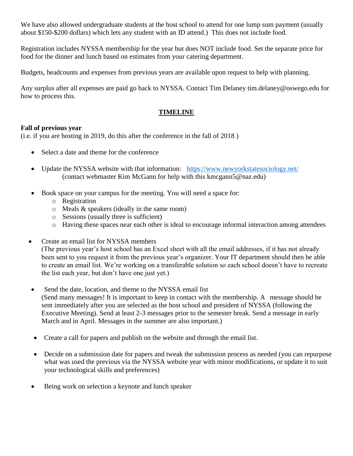We have also allowed undergraduate students at the host school to attend for one lump sum payment (usually about \$150-\$200 dollars) which lets any student with an ID attend.) This does not include food.

Registration includes NYSSA membership for the year but does NOT include food. Set the separate price for food for the dinner and lunch based on estimates from your catering department.

Budgets, headcounts and expenses from previous years are available upon request to help with planning.

Any surplus after all expenses are paid go back to NYSSA. Contact Tim Delaney [tim.delaney@oswego.edu](mailto:tim.delaney@oswego.edu) for how to process this.

## **TIMELINE**

### **Fall of previous year**

(i.e. if you are hosting in 2019, do this after the conference in the fall of 2018 )

- Select a date and theme for the conference
- Update the NYSSA website with that information: <https://www.newyorkstatesociology.net/> (contact webmaster Kim McGann for help with this kmcgann5@naz.edu)
- Book space on your campus for the meeting. You will need a space for:
	- o Registration
	- o Meals & speakers (ideally in the same room)
	- o Sessions (usually three is sufficient)
	- o Having these spaces near each other is ideal to encourage informal interaction among attendees
- Create an email list for NYSSA members

(The previous year's host school has an Excel sheet with all the email addresses, if it has not already been sent to you request it from the previous year's organizer. Your IT department should then be able to create an email list. We're working on a transferable solution so each school doesn't have to recreate the list each year, but don't have one just yet.)

- Send the date, location, and theme to the NYSSA email list (Send many messages! It is important to keep in contact with the membership. A message should be sent immediately after you are selected as the host school and president of NYSSA (following the Executive Meeting). Send at least 2-3 messages prior to the semester break. Send a message in early March and in April. Messages in the summer are also important.)
- Create a call for papers and publish on the website and through the email list.
- Decide on a submission date for papers and tweak the submission process as needed (you can repurpose what was used the previous via the NYSSA website year with minor modifications, or update it to suit your technological skills and preferences)
- Being work on selection a keynote and lunch speaker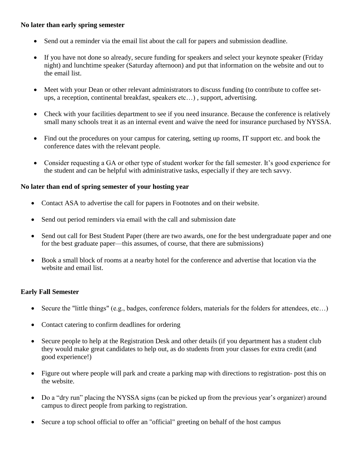### **No later than early spring semester**

- Send out a reminder via the email list about the call for papers and submission deadline.
- If you have not done so already, secure funding for speakers and select your keynote speaker (Friday night) and lunchtime speaker (Saturday afternoon) and put that information on the website and out to the email list.
- Meet with your Dean or other relevant administrators to discuss funding (to contribute to coffee setups, a reception, continental breakfast, speakers etc…) , support, advertising.
- Check with your facilities department to see if you need insurance. Because the conference is relatively small many schools treat it as an internal event and waive the need for insurance purchased by NYSSA.
- Find out the procedures on your campus for catering, setting up rooms, IT support etc. and book the conference dates with the relevant people.
- Consider requesting a GA or other type of student worker for the fall semester. It's good experience for the student and can be helpful with administrative tasks, especially if they are tech savvy.

#### **No later than end of spring semester of your hosting year**

- Contact ASA to advertise the call for papers in Footnotes and on their website.
- Send out period reminders via email with the call and submission date
- Send out call for Best Student Paper (there are two awards, one for the best undergraduate paper and one for the best graduate paper—this assumes, of course, that there are submissions)
- Book a small block of rooms at a nearby hotel for the conference and advertise that location via the website and email list.

### **Early Fall Semester**

- Secure the "little things" (e.g., badges, conference folders, materials for the folders for attendees, etc…)
- Contact catering to confirm deadlines for ordering
- Secure people to help at the Registration Desk and other details (if you department has a student club they would make great candidates to help out, as do students from your classes for extra credit (and good experience!)
- Figure out where people will park and create a parking map with directions to registration- post this on the website.
- Do a "dry run" placing the NYSSA signs (can be picked up from the previous year's organizer) around campus to direct people from parking to registration.
- Secure a top school official to offer an "official" greeting on behalf of the host campus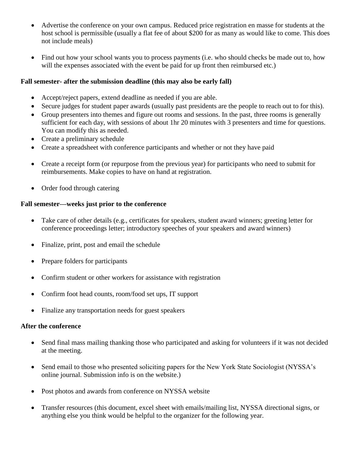- Advertise the conference on your own campus. Reduced price registration en masse for students at the host school is permissible (usually a flat fee of about \$200 for as many as would like to come. This does not include meals)
- Find out how your school wants you to process payments (i.e. who should checks be made out to, how will the expenses associated with the event be paid for up front then reimbursed etc.)

#### **Fall semester- after the submission deadline (this may also be early fall)**

- Accept/reject papers, extend deadline as needed if you are able.
- Secure judges for student paper awards (usually past presidents are the people to reach out to for this).
- Group presenters into themes and figure out rooms and sessions. In the past, three rooms is generally sufficient for each day, with sessions of about 1hr 20 minutes with 3 presenters and time for questions. You can modify this as needed.
- Create a preliminary schedule
- Create a spreadsheet with conference participants and whether or not they have paid
- Create a receipt form (or repurpose from the previous year) for participants who need to submit for reimbursements. Make copies to have on hand at registration.
- Order food through catering

### **Fall semester—weeks just prior to the conference**

- Take care of other details (e.g., certificates for speakers, student award winners; greeting letter for conference proceedings letter; introductory speeches of your speakers and award winners)
- Finalize, print, post and email the schedule
- Prepare folders for participants
- Confirm student or other workers for assistance with registration
- Confirm foot head counts, room/food set ups, IT support
- Finalize any transportation needs for guest speakers

### **After the conference**

- Send final mass mailing thanking those who participated and asking for volunteers if it was not decided at the meeting.
- Send email to those who presented soliciting papers for the New York State Sociologist (NYSSA's online journal. Submission info is on the website.)
- Post photos and awards from conference on NYSSA website
- Transfer resources (this document, excel sheet with emails/mailing list, NYSSA directional signs, or anything else you think would be helpful to the organizer for the following year.